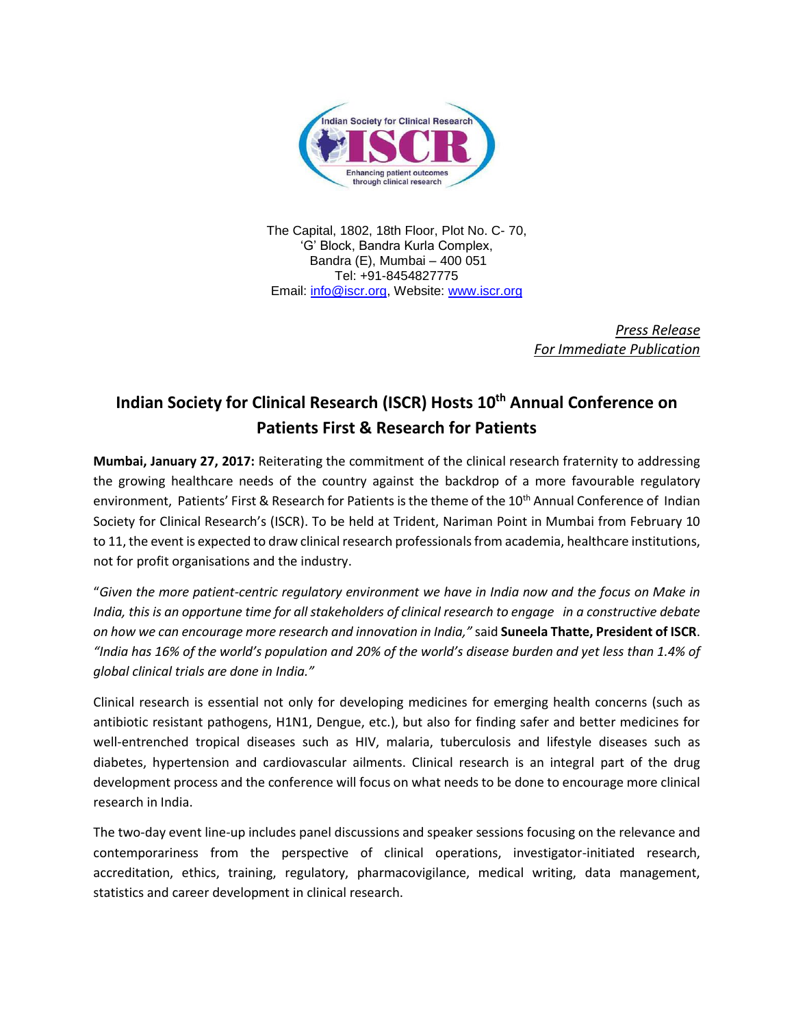

The Capital, 1802, 18th Floor, Plot No. C- 70, 'G' Block, Bandra Kurla Complex, Bandra (E), Mumbai – 400 051 Tel: +91-8454827775 Email: [info@iscr.org,](mailto:info@iscr.org) Website: www.iscr.org

> *Press Release For Immediate Publication*

## **Indian Society for Clinical Research (ISCR) Hosts 10th Annual Conference on Patients First & Research for Patients**

**Mumbai, January 27, 2017:** Reiterating the commitment of the clinical research fraternity to addressing the growing healthcare needs of the country against the backdrop of a more favourable regulatory environment, Patients' First & Research for Patients is the theme of the 10<sup>th</sup> Annual Conference of Indian Society for Clinical Research's (ISCR). To be held at Trident, Nariman Point in Mumbai from February 10 to 11, the event is expected to draw clinical research professionals from academia, healthcare institutions, not for profit organisations and the industry.

"*Given the more patient-centric regulatory environment we have in India now and the focus on Make in India, this is an opportune time for all stakeholders of clinical research to engage in a constructive debate on how we can encourage more research and innovation in India,"* said **Suneela Thatte, President of ISCR**. *"India has 16% of the world's population and 20% of the world's disease burden and yet less than 1.4% of global clinical trials are done in India."*

Clinical research is essential not only for developing medicines for emerging health concerns (such as antibiotic resistant pathogens, H1N1, Dengue, etc.), but also for finding safer and better medicines for well-entrenched tropical diseases such as HIV, malaria, tuberculosis and lifestyle diseases such as diabetes, hypertension and cardiovascular ailments. Clinical research is an integral part of the drug development process and the conference will focus on what needs to be done to encourage more clinical research in India.

The two-day event line-up includes panel discussions and speaker sessions focusing on the relevance and contemporariness from the perspective of clinical operations, investigator-initiated research, accreditation, ethics, training, regulatory, pharmacovigilance, medical writing, data management, statistics and career development in clinical research.